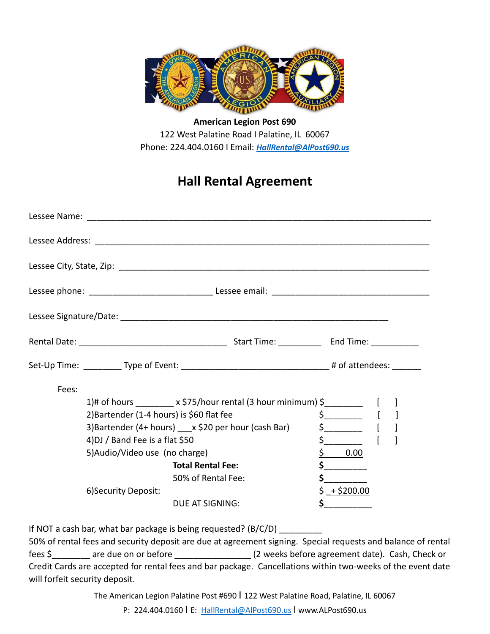

**American Legion Post 690** 122 West Palatine Road I Palatine, IL 60067 Phone: 224.404.0160 I Email: *HallRental@AlPost690.us*

## **Hall Rental Agreement**

| Fees: |                                                                              |  |  |  |
|-------|------------------------------------------------------------------------------|--|--|--|
|       | 1)# of hours _________ x \$75/hour rental (3 hour minimum) \$_____________ [ |  |  |  |
|       | 2) Bartender (1-4 hours) is \$60 flat fee<br>$\frac{1}{2}$ [                 |  |  |  |
|       | $\frac{1}{2}$ [ ]<br>3) Bartender (4+ hours) ___ x \$20 per hour (cash Bar)  |  |  |  |
|       | 4) DJ / Band Fee is a flat \$50                                              |  |  |  |
|       | 5) Audio/Video use (no charge)<br>$\sin 0.00$                                |  |  |  |
|       | $\int$<br><b>Total Rental Fee:</b>                                           |  |  |  |
|       | \$<br>50% of Rental Fee:                                                     |  |  |  |
|       | $$+$ \$200.00<br>6) Security Deposit:                                        |  |  |  |
|       | \$<br>DUE AT SIGNING:                                                        |  |  |  |

If NOT a cash bar, what bar package is being requested? (B/C/D) \_\_\_\_\_\_\_

50% of rental fees and security deposit are due at agreement signing. Special requests and balance of rental fees \$\_\_\_\_\_\_\_\_ are due on or before \_\_\_\_\_\_\_\_\_\_\_\_\_\_\_\_ (2 weeks before agreement date). Cash, Check or Credit Cards are accepted for rental fees and bar package. Cancellations within two-weeks of the event date will forfeit security deposit.

The American Legion Palatine Post #690 I 122 West Palatine Road, Palatine, IL 60067